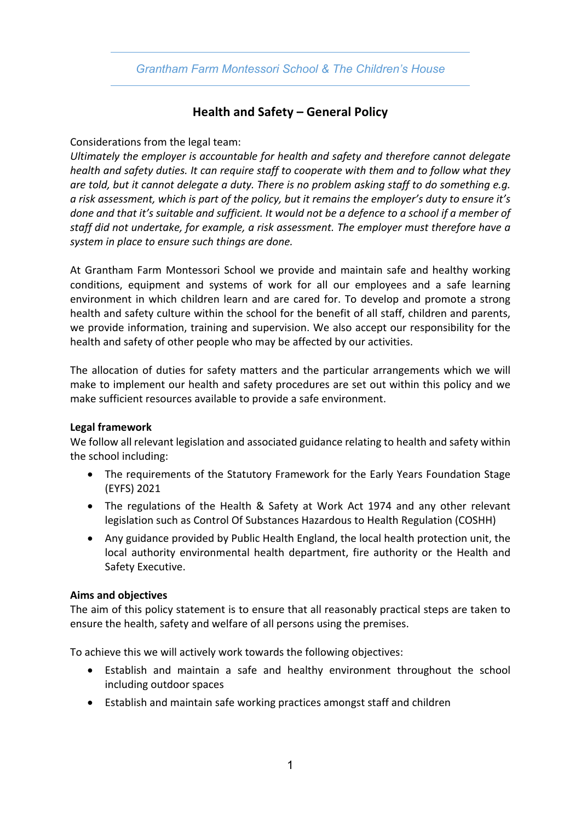## *Grantham Farm Montessori School & The Children's House*

## **Health and Safety – General Policy**

#### Considerations from the legal team:

*Ultimately the employer is accountable for health and safety and therefore cannot delegate health and safety duties. It can require staff to cooperate with them and to follow what they are told, but it cannot delegate a duty. There is no problem asking staff to do something e.g. a risk assessment, which is part of the policy, but it remains the employer's duty to ensure it's done and that it's suitable and sufficient. It would not be a defence to a school if a member of staff did not undertake, for example, a risk assessment. The employer must therefore have a system in place to ensure such things are done.*

At Grantham Farm Montessori School we provide and maintain safe and healthy working conditions, equipment and systems of work for all our employees and a safe learning environment in which children learn and are cared for. To develop and promote a strong health and safety culture within the school for the benefit of all staff, children and parents, we provide information, training and supervision. We also accept our responsibility for the health and safety of other people who may be affected by our activities.

The allocation of duties for safety matters and the particular arrangements which we will make to implement our health and safety procedures are set out within this policy and we make sufficient resources available to provide a safe environment.

#### **Legal framework**

We follow all relevant legislation and associated guidance relating to health and safety within the school including:

- The requirements of the Statutory Framework for the Early Years Foundation Stage (EYFS) 2021
- The regulations of the Health & Safety at Work Act 1974 and any other relevant legislation such as Control Of Substances Hazardous to Health Regulation (COSHH)
- Any guidance provided by Public Health England, the local health protection unit, the local authority environmental health department, fire authority or the Health and Safety Executive.

#### **Aims and objectives**

The aim of this policy statement is to ensure that all reasonably practical steps are taken to ensure the health, safety and welfare of all persons using the premises.

To achieve this we will actively work towards the following objectives:

- Establish and maintain a safe and healthy environment throughout the school including outdoor spaces
- Establish and maintain safe working practices amongst staff and children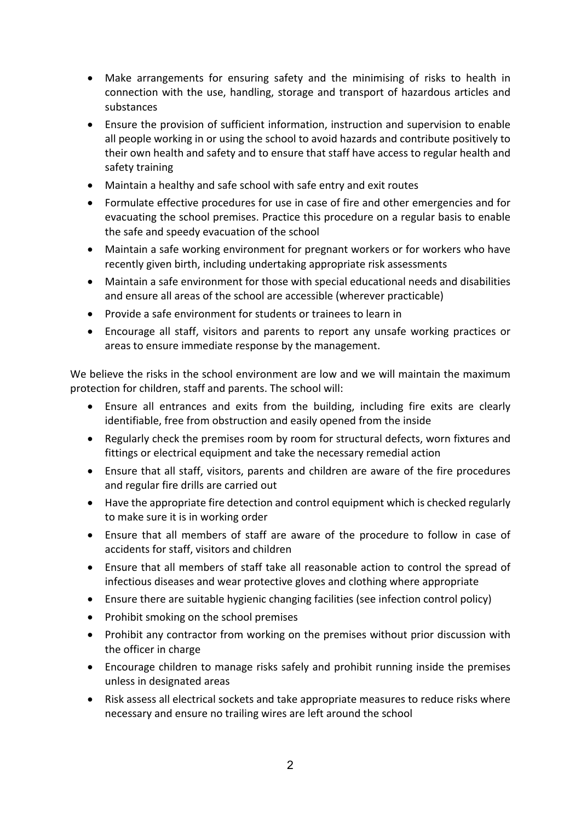- Make arrangements for ensuring safety and the minimising of risks to health in connection with the use, handling, storage and transport of hazardous articles and substances
- Ensure the provision of sufficient information, instruction and supervision to enable all people working in or using the school to avoid hazards and contribute positively to their own health and safety and to ensure that staff have access to regular health and safety training
- Maintain a healthy and safe school with safe entry and exit routes
- Formulate effective procedures for use in case of fire and other emergencies and for evacuating the school premises. Practice this procedure on a regular basis to enable the safe and speedy evacuation of the school
- Maintain a safe working environment for pregnant workers or for workers who have recently given birth, including undertaking appropriate risk assessments
- Maintain a safe environment for those with special educational needs and disabilities and ensure all areas of the school are accessible (wherever practicable)
- Provide a safe environment for students or trainees to learn in
- Encourage all staff, visitors and parents to report any unsafe working practices or areas to ensure immediate response by the management.

We believe the risks in the school environment are low and we will maintain the maximum protection for children, staff and parents. The school will:

- Ensure all entrances and exits from the building, including fire exits are clearly identifiable, free from obstruction and easily opened from the inside
- Regularly check the premises room by room for structural defects, worn fixtures and fittings or electrical equipment and take the necessary remedial action
- Ensure that all staff, visitors, parents and children are aware of the fire procedures and regular fire drills are carried out
- Have the appropriate fire detection and control equipment which is checked regularly to make sure it is in working order
- Ensure that all members of staff are aware of the procedure to follow in case of accidents for staff, visitors and children
- Ensure that all members of staff take all reasonable action to control the spread of infectious diseases and wear protective gloves and clothing where appropriate
- Ensure there are suitable hygienic changing facilities (see infection control policy)
- Prohibit smoking on the school premises
- Prohibit any contractor from working on the premises without prior discussion with the officer in charge
- Encourage children to manage risks safely and prohibit running inside the premises unless in designated areas
- Risk assess all electrical sockets and take appropriate measures to reduce risks where necessary and ensure no trailing wires are left around the school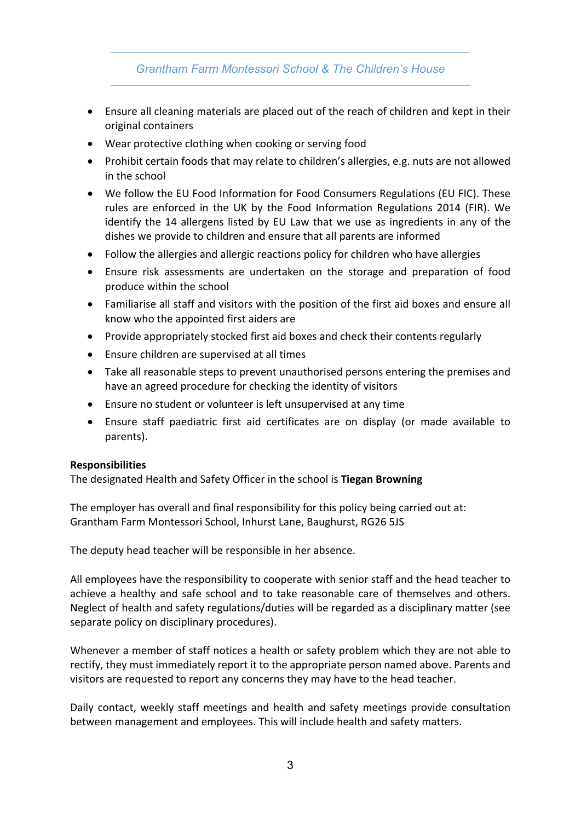## *Grantham Farm Montessori School & The Children's House*

- Ensure all cleaning materials are placed out of the reach of children and kept in their original containers
- Wear protective clothing when cooking or serving food
- Prohibit certain foods that may relate to children's allergies, e.g. nuts are not allowed in the school
- We follow the EU Food Information for Food Consumers Regulations (EU FIC). These rules are enforced in the UK by the Food Information Regulations 2014 (FIR). We identify the 14 allergens listed by EU Law that we use as ingredients in any of the dishes we provide to children and ensure that all parents are informed
- Follow the allergies and allergic reactions policy for children who have allergies
- Ensure risk assessments are undertaken on the storage and preparation of food produce within the school
- Familiarise all staff and visitors with the position of the first aid boxes and ensure all know who the appointed first aiders are
- Provide appropriately stocked first aid boxes and check their contents regularly
- Ensure children are supervised at all times
- Take all reasonable steps to prevent unauthorised persons entering the premises and have an agreed procedure for checking the identity of visitors
- Ensure no student or volunteer is left unsupervised at any time
- Ensure staff paediatric first aid certificates are on display (or made available to parents).

#### **Responsibilities**

The designated Health and Safety Officer in the school is **Tiegan Browning**

The employer has overall and final responsibility for this policy being carried out at: Grantham Farm Montessori School, Inhurst Lane, Baughurst, RG26 5JS

The deputy head teacher will be responsible in her absence.

All employees have the responsibility to cooperate with senior staff and the head teacher to achieve a healthy and safe school and to take reasonable care of themselves and others. Neglect of health and safety regulations/duties will be regarded as a disciplinary matter (see separate policy on disciplinary procedures).

Whenever a member of staff notices a health or safety problem which they are not able to rectify, they must immediately report it to the appropriate person named above. Parents and visitors are requested to report any concerns they may have to the head teacher.

Daily contact, weekly staff meetings and health and safety meetings provide consultation between management and employees. This will include health and safety matters.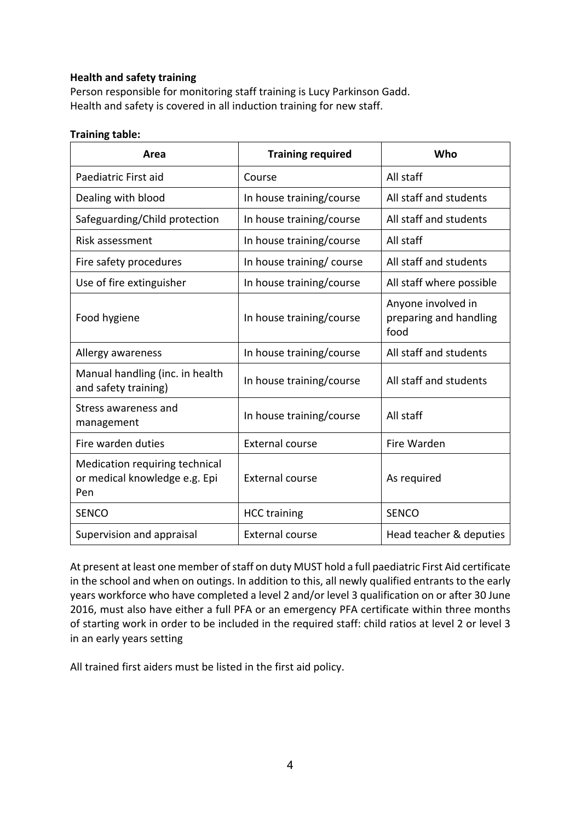### **Health and safety training**

Person responsible for monitoring staff training is Lucy Parkinson Gadd. Health and safety is covered in all induction training for new staff.

#### **Training table:**

| Area                                                                   | <b>Training required</b> | Who                                                  |
|------------------------------------------------------------------------|--------------------------|------------------------------------------------------|
| Paediatric First aid                                                   | Course                   | All staff                                            |
| Dealing with blood                                                     | In house training/course | All staff and students                               |
| Safeguarding/Child protection                                          | In house training/course | All staff and students                               |
| Risk assessment                                                        | In house training/course | All staff                                            |
| Fire safety procedures                                                 | In house training/course | All staff and students                               |
| Use of fire extinguisher                                               | In house training/course | All staff where possible                             |
| Food hygiene                                                           | In house training/course | Anyone involved in<br>preparing and handling<br>food |
| Allergy awareness                                                      | In house training/course | All staff and students                               |
| Manual handling (inc. in health<br>and safety training)                | In house training/course | All staff and students                               |
| Stress awareness and<br>management                                     | In house training/course | All staff                                            |
| Fire warden duties                                                     | <b>External course</b>   | Fire Warden                                          |
| Medication requiring technical<br>or medical knowledge e.g. Epi<br>Pen | <b>External course</b>   | As required                                          |
| <b>SENCO</b>                                                           | <b>HCC training</b>      | <b>SENCO</b>                                         |
| Supervision and appraisal                                              | <b>External course</b>   | Head teacher & deputies                              |

At present at least one member of staff on duty MUST hold a full paediatric First Aid certificate in the school and when on outings. In addition to this, all newly qualified entrants to the early years workforce who have completed a level 2 and/or level 3 qualification on or after 30 June 2016, must also have either a full PFA or an emergency PFA certificate within three months of starting work in order to be included in the required staff: child ratios at level 2 or level 3 in an early years setting

All trained first aiders must be listed in the first aid policy.